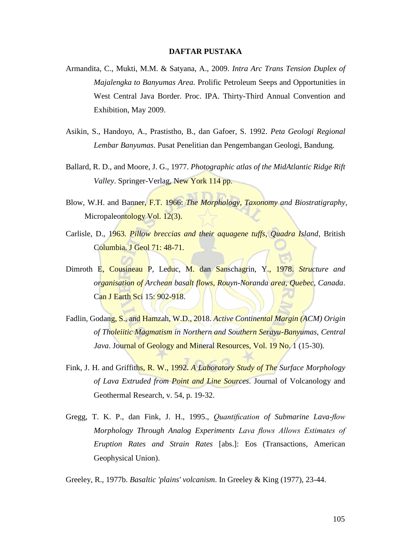## **DAFTAR PUSTAKA**

- Armandita, C., Mukti, M.M. & Satyana, A., 2009. *Intra Arc Trans Tension Duplex of Majalengka to Banyumas Area.* Prolific Petroleum Seeps and Opportunities in West Central Java Border. Proc. IPA. Thirty-Third Annual Convention and Exhibition, May 2009.
- Asikin, S., Handoyo, A., Prastistho, B., dan Gafoer, S. 1992. *Peta Geologi Regional Lembar Banyumas*. Pusat Penelitian dan Pengembangan Geologi, Bandung.
- Ballard, R. D., and Moore, J. G., 1977. *Photographic atlas of the MidAtlantic Ridge Rift Valley*. Springer-Verlag, New York 114 pp.
- Blow, W.H. and Banner, F.T. 1966: *The Morphology, Taxonomy and Biostratigraphy*, Micropaleontology Vol. 12(3).
- Carlisle, D., 1963. *Pillow breccias and their aquagene tuffs, Quadra Island*, British Columbia. J Geol 71: 48-71.
- Dimroth E, Cousineau P, Leduc, M. dan Sanschagrin, Y., 1978. *Structure and organisation of Archean basalt flows, Rouyn-Noranda area, Quebec, Canada*. Can J Earth Sci 15: 902-918.
- Fadlin, Godang, S., and Hamzah, W.D., 2018. *Active Continental Margin (ACM) Origin of Tholeiitic Magmatism in Northern and Southern Serayu-Banyumas, Central Java*. Journal of Geology and Mineral Resources, Vol. 19 No. 1 (15-30).
- Fink, J. H. and Griffiths, R. W., 1992. *A Laboratory Study of The Surface Morphology of Lava Extruded from Point and Line Sources*. Journal of Volcanology and Geothermal Research, v. 54, p. 19-32.
- Gregg, T. K. P., dan Fink, J. H., 1995., *Quantification of Submarine Lava-flow Morphology Through Analog Experiments Lava flows Allows Estimates of Eruption Rates and Strain Rates* [abs.]: Eos (Transactions, American Geophysical Union).

Greeley, R., 1977b. *Basaltic 'plains' volcanism*. In Greeley & King (1977), 23-44.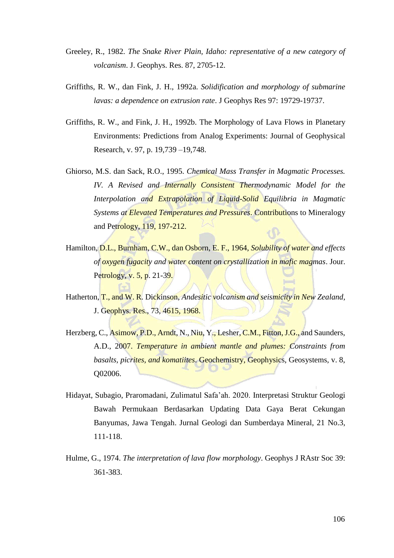- Greeley, R., 1982. *The Snake River Plain, Idaho: representative of a new category of volcanism*. J. Geophys. Res. 87, 2705-12.
- Griffiths, R. W., dan Fink, J. H., 1992a. *Solidification and morphology of submarine lavas: a dependence on extrusion rate*. J Geophys Res 97: 19729-19737.
- Griffiths, R. W., and Fink, J. H., 1992b. The Morphology of Lava Flows in Planetary Environments: Predictions from Analog Experiments: Journal of Geophysical Research, v. 97, p. 19,739 –19,748.
- Ghiorso, M.S. dan Sack, R.O., 1995. *Chemical Mass Transfer in Magmatic Processes. IV. A Revised and Internally Consistent Thermodynamic Model for the Interpolation and Extrapolation of Liquid-Solid Equilibria in Magmatic Systems at Elevated Temperatures and Pressures*. Contributions to Mineralogy and Petrology, 119, 197-212.
- Hamilton, D.L., Burnham, C.W., dan Osborn, E. F., 1964, *Solubility of water and effects of oxygen fugacity and water content on crystallization in mafic magmas*. Jour. Petrology, v. 5, p. 21-39.
- Hatherton, T., and W. R. Dickinson, *Andesitic volcanism and seismicity in New Zealand,*  J. Geophys. Res., 73, 4615, 1968.
- Herzberg, C., Asimow, P.D., Arndt, N., Niu, Y., Lesher, C.M., Fitton, J.G., and Saunders, A.D., 2007. *Temperature in ambient mantle and plumes: Constraints from basalts, picrites, and komatiites*. Geochemistry, Geophysics, Geosystems, v. 8, Q02006.
- Hidayat, Subagio, Praromadani, Zulimatul Safa'ah. 2020. Interpretasi Struktur Geologi Bawah Permukaan Berdasarkan Updating Data Gaya Berat Cekungan Banyumas, Jawa Tengah. Jurnal Geologi dan Sumberdaya Mineral, 21 No.3, 111-118.
- Hulme, G., 1974. *The interpretation of lava flow morphology*. Geophys J RAstr Soc 39: 361-383.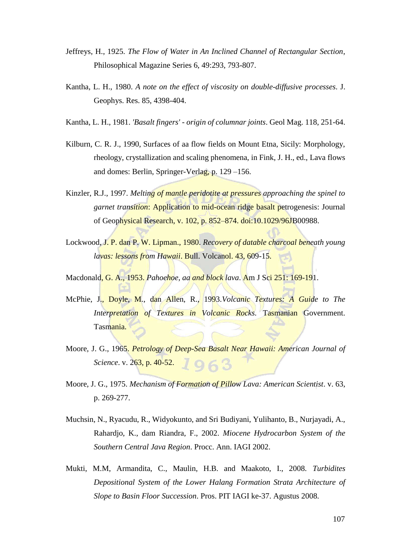- Jeffreys, H., 1925. *The Flow of Water in An Inclined Channel of Rectangular Section*, Philosophical Magazine Series 6, 49:293, 793-807.
- Kantha, L. H., 1980. *A note on the effect of viscosity on double-diffusive processes*. J. Geophys. Res. 85, 4398-404.
- Kantha, L. H., 1981. *'Basalt fingers' - origin of columnar joints*. Geol Mag. 118, 251-64.
- Kilburn, C. R. J., 1990, Surfaces of aa flow fields on Mount Etna, Sicily: Morphology, rheology, crystallization and scaling phenomena, in Fink, J. H., ed., Lava flows and domes: Berlin, Springer-Verlag, p. 129 –156.
- Kinzler, R.J., 1997. *Melting of mantle peridotite at pressures approaching the spinel to garnet transition*: Application to mid-ocean ridge basalt petrogenesis: Journal of Geophysical Research, v. 102, p. 852–874. doi:10.1029/96JB00988.
- Lockwood, J. P. dan P. W. Lipman., 1980. *Recovery of datable charcoal beneath young lavas: lessons from Hawaii. Bull. Volcanol. 43, 609-15.*
- Macdonald, G. A., 1953. *Pahoehoe, aa and block lava*. Am J Sci 251: 169-191.
- McPhie, J., Doyle, M., dan Allen, R., 1993.*Volcanic Textures: A Guide to The Interpretation of Textures in Volcanic Rocks.* Tasmanian Government. Tasmania.
- Moore, J. G., 1965. *Petrology of Deep-Sea Basalt Near Hawaii: American Journal of Science*. v. 263, p. 40-52.  $963$
- Moore, J. G., 1975. *Mechanism of Formation of Pillow Lava: American Scientist*. v. 63, p. 269-277.
- Muchsin, N., Ryacudu, R., Widyokunto, and Sri Budiyani, Yulihanto, B., Nurjayadi, A., Rahardjo, K., dam Riandra, F., 2002. *Miocene Hydrocarbon System of the Southern Central Java Region*. Procc. Ann. IAGI 2002.
- Mukti, M.M, Armandita, C., Maulin, H.B. and Maakoto, I., 2008. *Turbidites Depositional System of the Lower Halang Formation Strata Architecture of Slope to Basin Floor Succession*. Pros. PIT IAGI ke-37. Agustus 2008.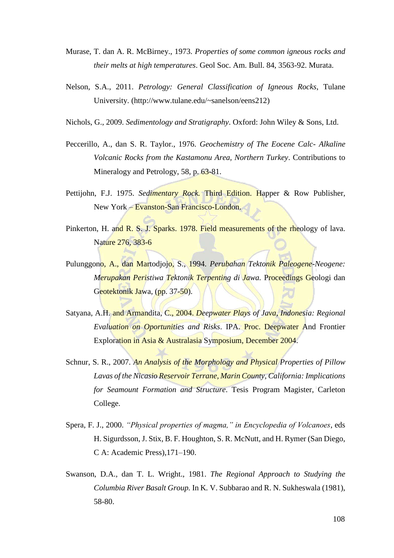- Murase, T. dan A. R. McBirney., 1973. *Properties of some common igneous rocks and their melts at high temperatures*. Geol Soc. Am. Bull. 84, 3563-92. Murata.
- Nelson, S.A., 2011. *Petrology: General Classification of Igneous Rocks*, Tulane University. [\(http://www.tulane.edu/~sanelson/eens212\)](http://www.tulane.edu/~sanelson/eens212)
- Nichols, G., 2009. *Sedimentology and Stratigraphy*. Oxford: John Wiley & Sons, Ltd.
- Peccerillo, A., dan S. R. Taylor., 1976. *Geochemistry of The Eocene Calc- Alkaline Volcanic Rocks from the Kastamonu Area, Northern Turkey*. Contributions to Mineralogy and Petrology, 58, p. 63-81.
- Pettijohn, F.J. 1975. *Sedimentary Rock.* Third Edition. Happer & Row Publisher, New York – Evanston-San Francisco-London.
- Pinkerton, H. and R. S. J. Sparks. 1978. Field measurements of the rheology of lava. Nature 276, 383-6
- Pulunggono, A., dan Martodjojo, S., 1994. *Perubahan Tektonik Paleogene-Neogene: Merupakan Peristiwa Tektonik Terpenting di Jawa.* Proceedings Geologi dan Geotektonik Jawa, (pp. 37-50).
- Satyana, A.H. and Armandita, C., 2004. *Deepwater Plays of Java, Indonesia: Regional Evaluation on Oportunities and Risks*. IPA. Proc. Deepwater And Frontier Exploration in Asia & Australasia Symposium, December 2004.
- Schnur, S. R., 2007*. An Analysis of the Morphology and Physical Properties of Pillow Lavas of the Nicasio Reservoir Terrane, Marin County, California: Implications for Seamount Formation and Structure*. Tesis Program Magister, Carleton College.
- Spera, F. J., 2000. *"Physical properties of magma," in Encyclopedia of Volcanoes*, eds H. Sigurdsson, J. Stix, B. F. Houghton, S. R. McNutt, and H. Rymer (San Diego, C A: Academic Press),171–190.
- Swanson, D.A., dan T. L. Wright., 1981. *The Regional Approach to Studying the Columbia River Basalt Group.* In K*.* V. Subbarao and R. N. Sukheswala (1981), 58-80.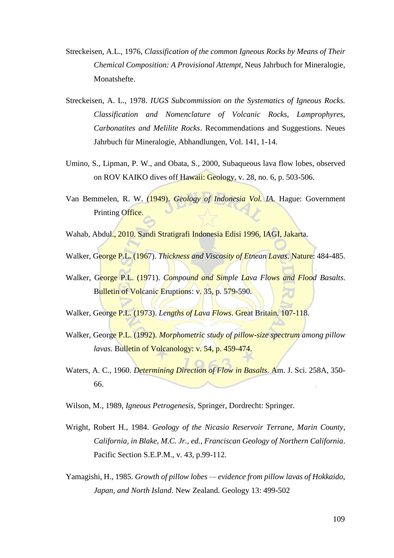- Streckeisen, A.L., 1976, *Classification of the common Igneous Rocks by Means of Their Chemical Composition: A Provisional Attempt,* Neus Jahrbuch for Mineralogie, Monatshefte.
- Streckeisen, A. L., 1978. *IUGS Subcommission on the Systematics of Igneous Rocks. Classification and Nomenclature of Volcanic Rocks, Lamprophyres, Carbonatites and Melilite Rocks*. Recommendations and Suggestions. Neues Jahrbuch für Mineralogie, Abhandlungen, Vol. 141, 1-14.
- Umino, S., Lipman, P. W., and Obata, S., 2000, Subaqueous lava flow lobes, observed on ROV KAIKO dives off Hawaii: Geology, v. 28, no. 6, p. 503-506.
- Van Bemmelen, R. W. (1949). *Geology of Indonesia Vol. IA.* Hague: Government Printing Office.
- Wahab, Abdul., 2010. Sandi Stratigrafi Indonesia Edisi 1996, IAGI, Jakarta.
- Walker, George P.L. (1967). *Thickness and Viscosity of Etnean Lavas*. Nature: 484-485.
- Walker, George P.L. (1971). *Compound and Simple Lava Flows and Flood Basalts*. Bulletin of Volcanic Eruptions: v. 35, p. 579-590.
- Walker, George P.L. (1973). *Lengths of Lava Flows*. Great Britain. 107-118.
- Walker, George P.L. (1992). *Morphometric study of pillow-size spectrum among pillow lavas*. Bulletin of Volcanology: v. 54, p. 459-474.
- Waters, A. C., 1960. *Determining Direction of Flow in Basalts*. Am. J. Sci. 258A, 350- 66.
- Wilson, M., 1989, *Igneous Petrogenesis,* Springer, Dordrecht: Springer.
- Wright, Robert H., 1984. *Geology of the Nicasio Reservoir Terrane, Marin County, California, in Blake, M.C. Jr., ed., Franciscan Geology of Northern California*. Pacific Section S.E.P.M., v. 43, p.99-112.
- Yamagishi, H., 1985. *Growth of pillow lobes — evidence from pillow lavas of Hokkaido, Japan, and North Island*. New Zealand. Geology 13: 499-502